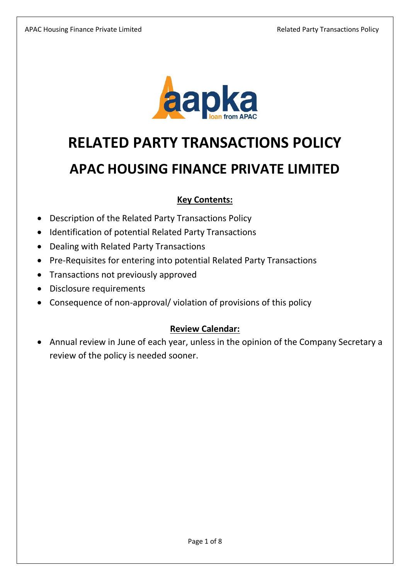

# **RELATED PARTY TRANSACTIONS POLICY**

# **APAC HOUSING FINANCE PRIVATE LIMITED**

## **Key Contents:**

- Description of the Related Party Transactions Policy
- Identification of potential Related Party Transactions
- Dealing with Related Party Transactions
- Pre-Requisites for entering into potential Related Party Transactions
- Transactions not previously approved
- Disclosure requirements
- Consequence of non-approval/ violation of provisions of this policy

## **Review Calendar:**

• Annual review in June of each year, unless in the opinion of the Company Secretary a review of the policy is needed sooner.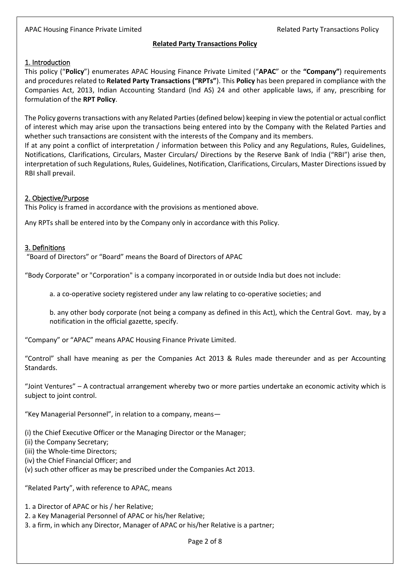### **Related Party Transactions Policy**

### 1. Introduction

This policy ("**Policy**") enumerates APAC Housing Finance Private Limited ("**APAC**" or the **"Company"**) requirements and procedures related to **Related Party Transactions ("RPTs"**). This **Policy** has been prepared in compliance with the Companies Act, 2013, Indian Accounting Standard (Ind AS) 24 and other applicable laws, if any, prescribing for formulation of the **RPT Policy**.

The Policy governs transactions with any Related Parties(defined below) keeping in view the potential or actual conflict of interest which may arise upon the transactions being entered into by the Company with the Related Parties and whether such transactions are consistent with the interests of the Company and its members.

If at any point a conflict of interpretation / information between this Policy and any Regulations, Rules, Guidelines, Notifications, Clarifications, Circulars, Master Circulars/ Directions by the Reserve Bank of India ("RBI") arise then, interpretation of such Regulations, Rules, Guidelines, Notification, Clarifications, Circulars, Master Directions issued by RBI shall prevail.

#### 2. Objective/Purpose

This Policy is framed in accordance with the provisions as mentioned above.

Any RPTs shall be entered into by the Company only in accordance with this Policy.

### 3. Definitions

"Board of Directors" or "Board" means the Board of Directors of APAC

"Body Corporate" or "Corporation" is a company incorporated in or outside India but does not include:

a. a co-operative society registered under any law relating to co-operative societies; and

b. any other body corporate (not being a company as defined in this Act), which the Central Govt. may, by a notification in the official gazette, specify.

"Company" or "APAC" means APAC Housing Finance Private Limited.

"Control" shall have meaning as per the Companies Act 2013 & Rules made thereunder and as per Accounting Standards.

"Joint Ventures" – A contractual arrangement whereby two or more parties undertake an economic activity which is subject to joint control.

"Key Managerial Personnel", in relation to a company, means—

(i) the Chief Executive Officer or the Managing Director or the Manager;

(ii) the Company Secretary;

(iii) the Whole-time Directors;

(iv) the Chief Financial Officer; and

(v) such other officer as may be prescribed under the Companies Act 2013.

"Related Party", with reference to APAC, means

1. a Director of APAC or his / her Relative;

2. a Key Managerial Personnel of APAC or his/her Relative;

3. a firm, in which any Director, Manager of APAC or his/her Relative is a partner;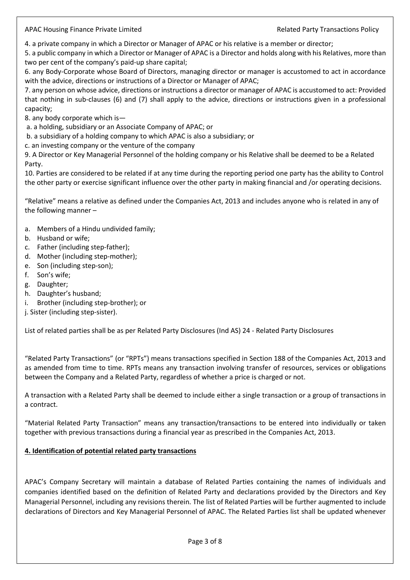4. a private company in which a Director or Manager of APAC or his relative is a member or director;

5. a public company in which a Director or Manager of APAC is a Director and holds along with his Relatives, more than two per cent of the company's paid-up share capital;

6. any Body-Corporate whose Board of Directors, managing director or manager is accustomed to act in accordance with the advice, directions or instructions of a Director or Manager of APAC;

7. any person on whose advice, directions or instructions a director or manager of APAC is accustomed to act: Provided that nothing in sub-clauses (6) and (7) shall apply to the advice, directions or instructions given in a professional capacity;

8. any body corporate which is—

a. a holding, subsidiary or an Associate Company of APAC; or

b. a subsidiary of a holding company to which APAC is also a subsidiary; or

c. an investing company or the venture of the company

9. A Director or Key Managerial Personnel of the holding company or his Relative shall be deemed to be a Related Party.

10. Parties are considered to be related if at any time during the reporting period one party has the ability to Control the other party or exercise significant influence over the other party in making financial and /or operating decisions.

"Relative" means a relative as defined under the Companies Act, 2013 and includes anyone who is related in any of the following manner –

- a. Members of a Hindu undivided family;
- b. Husband or wife;
- c. Father (including step-father);
- d. Mother (including step-mother);
- e. Son (including step-son);
- f. Son's wife;
- g. Daughter;
- h. Daughter's husband;
- i. Brother (including step-brother); or
- j. Sister (including step-sister).

List of related parties shall be as per Related Party Disclosures (Ind AS) 24 - Related Party Disclosures

"Related Party Transactions" (or "RPTs") means transactions specified in Section 188 of the Companies Act, 2013 and as amended from time to time. RPTs means any transaction involving transfer of resources, services or obligations between the Company and a Related Party, regardless of whether a price is charged or not.

A transaction with a Related Party shall be deemed to include either a single transaction or a group of transactions in a contract.

"Material Related Party Transaction" means any transaction/transactions to be entered into individually or taken together with previous transactions during a financial year as prescribed in the Companies Act, 2013.

#### **4. Identification of potential related party transactions**

APAC's Company Secretary will maintain a database of Related Parties containing the names of individuals and companies identified based on the definition of Related Party and declarations provided by the Directors and Key Managerial Personnel, including any revisions therein. The list of Related Parties will be further augmented to include declarations of Directors and Key Managerial Personnel of APAC. The Related Parties list shall be updated whenever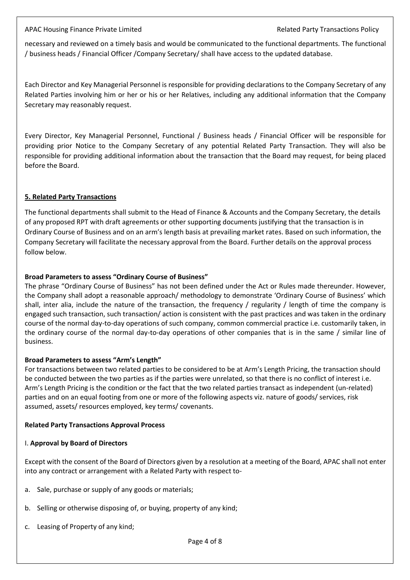necessary and reviewed on a timely basis and would be communicated to the functional departments. The functional / business heads / Financial Officer /Company Secretary/ shall have access to the updated database.

Each Director and Key Managerial Personnel is responsible for providing declarations to the Company Secretary of any Related Parties involving him or her or his or her Relatives, including any additional information that the Company Secretary may reasonably request.

Every Director, Key Managerial Personnel, Functional / Business heads / Financial Officer will be responsible for providing prior Notice to the Company Secretary of any potential Related Party Transaction. They will also be responsible for providing additional information about the transaction that the Board may request, for being placed before the Board.

#### **5. Related Party Transactions**

The functional departments shall submit to the Head of Finance & Accounts and the Company Secretary, the details of any proposed RPT with draft agreements or other supporting documents justifying that the transaction is in Ordinary Course of Business and on an arm's length basis at prevailing market rates. Based on such information, the Company Secretary will facilitate the necessary approval from the Board. Further details on the approval process follow below.

#### **Broad Parameters to assess "Ordinary Course of Business"**

The phrase "Ordinary Course of Business" has not been defined under the Act or Rules made thereunder. However, the Company shall adopt a reasonable approach/ methodology to demonstrate 'Ordinary Course of Business' which shall, inter alia, include the nature of the transaction, the frequency / regularity / length of time the company is engaged such transaction, such transaction/ action is consistent with the past practices and was taken in the ordinary course of the normal day-to-day operations of such company, common commercial practice i.e. customarily taken, in the ordinary course of the normal day-to-day operations of other companies that is in the same / similar line of business.

#### **Broad Parameters to assess "Arm's Length"**

For transactions between two related parties to be considered to be at Arm's Length Pricing, the transaction should be conducted between the two parties as if the parties were unrelated, so that there is no conflict of interest i.e. Arm's Length Pricing is the condition or the fact that the two related parties transact as independent (un-related) parties and on an equal footing from one or more of the following aspects viz. nature of goods/ services, risk assumed, assets/ resources employed, key terms/ covenants.

#### **Related Party Transactions Approval Process**

#### I. **Approval by Board of Directors**

Except with the consent of the Board of Directors given by a resolution at a meeting of the Board, APAC shall not enter into any contract or arrangement with a Related Party with respect to-

- a. Sale, purchase or supply of any goods or materials;
- b. Selling or otherwise disposing of, or buying, property of any kind;
- c. Leasing of Property of any kind;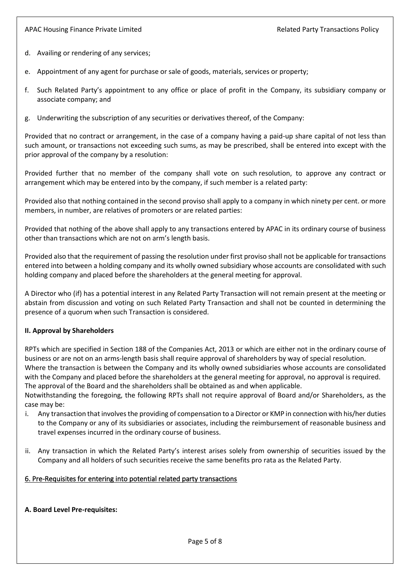- d. Availing or rendering of any services;
- e. Appointment of any agent for purchase or sale of goods, materials, services or property;
- f. Such Related Party's appointment to any office or place of profit in the Company, its subsidiary company or associate company; and
- g. Underwriting the subscription of any securities or derivatives thereof, of the Company:

Provided that no contract or arrangement, in the case of a company having a paid-up share capital of not less than such amount, or transactions not exceeding such sums, [as may be prescribed,](http://ebook.mca.gov.in/Actpagedisplay.aspx?PAGENAME=18105) shall be entered into except with the prior approval of the company by a resolution:

Provided further that no member of the company shall vote on such resolution, to approve any contract or arrangement which may be entered into by the company, if such member is a [related party:](http://ebook.mca.gov.in/notificationdetail.aspx?acturl=6CoJDC4uKVUR7C9Fl4rZdatyDbeJTqg3uaDT7Vp4Q49CMLrjLkTdQ3Pyokn1IG4M1v2eQsahUIhbgQpxm44GdQtcvtvroFBL)

Provided also that nothing contained in the second proviso shall apply to a company in which ninety per cent. or more members, in number, are relatives of promoters or are related parties:

Provided that nothing of the above shall apply to any transactions entered by APAC in its ordinary course of business other than transactions which are not on arm's length basis.

Provided also that the requirement of passing the resolution under first proviso shall not be applicable for transactions entered into between a holding company and its wholly owned subsidiary whose accounts are consolidated with such holding company and placed before the shareholders at the general meeting for approval.

A Director who (if) has a potential interest in any Related Party Transaction will not remain present at the meeting or abstain from discussion and voting on such Related Party Transaction and shall not be counted in determining the presence of a quorum when such Transaction is considered.

#### **II. Approval by Shareholders**

RPTs which are specified in Section 188 of the Companies Act, 2013 or which are either not in the ordinary course of business or are not on an arms-length basis shall require approval of shareholders by way of special resolution. Where the transaction is between the Company and its wholly owned subsidiaries whose accounts are consolidated with the Company and placed before the shareholders at the general meeting for approval, no approval is required. The approval of the Board and the shareholders shall be obtained as and when applicable. Notwithstanding the foregoing, the following RPTs shall not require approval of Board and/or Shareholders, as the case may be:

- i. Any transaction that involves the providing of compensation to a Director or KMP in connection with his/her duties to the Company or any of its subsidiaries or associates, including the reimbursement of reasonable business and travel expenses incurred in the ordinary course of business.
- ii. Any transaction in which the Related Party's interest arises solely from ownership of securities issued by the Company and all holders of such securities receive the same benefits pro rata as the Related Party.

#### 6. Pre-Requisites for entering into potential related party transactions

#### **A. Board Level Pre-requisites:**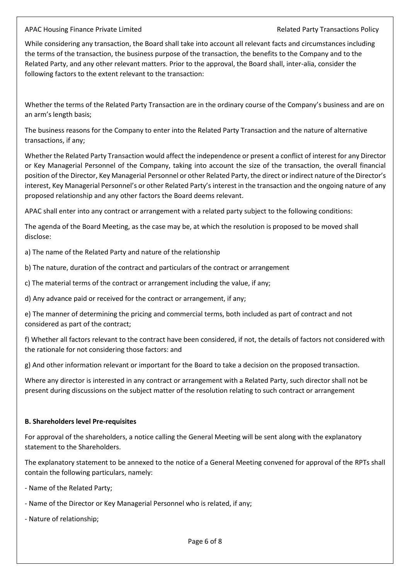While considering any transaction, the Board shall take into account all relevant facts and circumstances including the terms of the transaction, the business purpose of the transaction, the benefits to the Company and to the Related Party, and any other relevant matters. Prior to the approval, the Board shall, inter-alia, consider the following factors to the extent relevant to the transaction:

Whether the terms of the Related Party Transaction are in the ordinary course of the Company's business and are on an arm's length basis;

The business reasons for the Company to enter into the Related Party Transaction and the nature of alternative transactions, if any;

Whether the Related Party Transaction would affect the independence or present a conflict of interest for any Director or Key Managerial Personnel of the Company, taking into account the size of the transaction, the overall financial position of the Director, Key Managerial Personnel or other Related Party, the direct or indirect nature of the Director's interest, Key Managerial Personnel's or other Related Party's interest in the transaction and the ongoing nature of any proposed relationship and any other factors the Board deems relevant.

APAC shall enter into any contract or arrangement with a related party subject to the following conditions:

The agenda of the Board Meeting, as the case may be, at which the resolution is proposed to be moved shall disclose:

a) The name of the Related Party and nature of the relationship

b) The nature, duration of the contract and particulars of the contract or arrangement

c) The material terms of the contract or arrangement including the value, if any;

d) Any advance paid or received for the contract or arrangement, if any;

e) The manner of determining the pricing and commercial terms, both included as part of contract and not considered as part of the contract;

f) Whether all factors relevant to the contract have been considered, if not, the details of factors not considered with the rationale for not considering those factors: and

g) And other information relevant or important for the Board to take a decision on the proposed transaction.

Where any director is interested in any contract or arrangement with a Related Party, such director shall not be present during discussions on the subject matter of the resolution relating to such contract or arrangement

#### **B. Shareholders level Pre-requisites**

For approval of the shareholders, a notice calling the General Meeting will be sent along with the explanatory statement to the Shareholders.

The explanatory statement to be annexed to the notice of a General Meeting convened for approval of the RPTs shall contain the following particulars, namely:

- Name of the Related Party;
- Name of the Director or Key Managerial Personnel who is related, if any;

- Nature of relationship;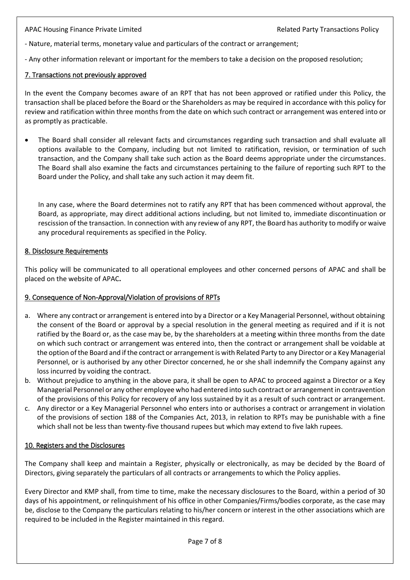- Nature, material terms, monetary value and particulars of the contract or arrangement;

- Any other information relevant or important for the members to take a decision on the proposed resolution;

#### 7. [Transactions](javascript:dodisplayexpand(1);) not previously approved

In the event the Company becomes aware of an RPT that has not been approved or ratified under this Policy, the transaction shall be placed before the Board or the Shareholders as may be required in accordance with this policy for review and ratification within three months from the date on which such contract or arrangement was entered into or as promptly as practicable.

• The Board shall consider all relevant facts and circumstances regarding such transaction and shall evaluate all options available to the Company, including but not limited to ratification, revision, or termination of such transaction, and the Company shall take such action as the Board deems appropriate under the circumstances. The Board shall also examine the facts and circumstances pertaining to the failure of reporting such RPT to the Board under the Policy, and shall take any such action it may deem fit.

In any case, where the Board determines not to ratify any RPT that has been commenced without approval, the Board, as appropriate, may direct additional actions including, but not limited to, immediate discontinuation or rescission of the transaction. In connection with any review of any RPT, the Board has authority to modify or waive any procedural requirements as specified in the Policy.

#### 8. [Disclosure](javascript:dodisplayexpand(2);) Requirements

This policy will be communicated to all operational employees and other concerned persons of APAC and shall be placed on the website of APAC**.**

#### 9. Consequence of Non-Approval/Violation of provisions of RPTs

- a. Where any contract or arrangement is entered into by a Director or a Key Managerial Personnel, without obtaining the consent of the Board or approval by a special resolution in the general meeting as required and if it is not ratified by the Board or, as the case may be, by the shareholders at a meeting within three months from the date on which such contract or arrangement was entered into, then the contract or arrangement shall be voidable at the option of the Board and if the contract or arrangement is with Related Party to any Director or a Key Managerial Personnel, or is authorised by any other Director concerned, he or she shall indemnify the Company against any loss incurred by voiding the contract.
- b. Without prejudice to anything in the above para, it shall be open to APAC to proceed against a Director or a Key Managerial Personnel or any other employee who had entered into such contract or arrangement in contravention of the provisions of this Policy for recovery of any loss sustained by it as a result of such contract or arrangement.
- c. Any director or a Key Managerial Personnel who enters into or authorises a contract or arrangement in violation of the provisions of section 188 of the Companies Act, 2013, in relation to RPTs may be punishable with a fine which shall not be less than twenty-five thousand rupees but which may extend to five lakh rupees.

#### 10. Registers and the Disclosures

The Company shall keep and maintain a Register, physically or electronically, as may be decided by the Board of Directors, giving separately the particulars of all contracts or arrangements to which the Policy applies.

Every Director and KMP shall, from time to time, make the necessary disclosures to the Board, within a period of 30 days of his appointment, or relinquishment of his office in other Companies/Firms/bodies corporate, as the case may be, disclose to the Company the particulars relating to his/her concern or interest in the other associations which are required to be included in the Register maintained in this regard.